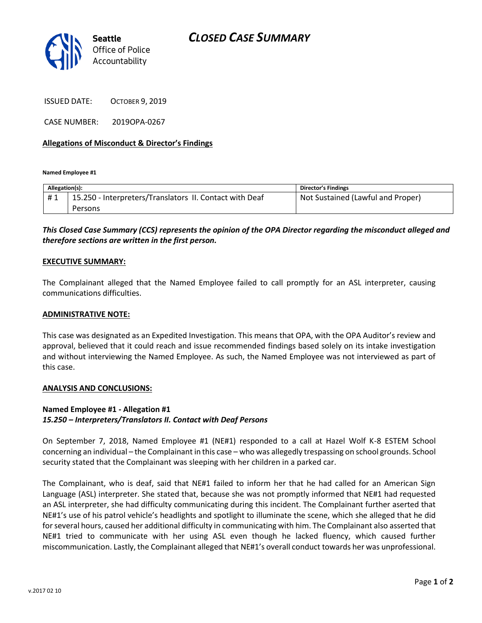

ISSUED DATE: OCTOBER 9, 2019

CASE NUMBER: 2019OPA-0267

## **Allegations of Misconduct & Director's Findings**

**Named Employee #1**

| Allegation(s): |                                                         | <b>Director's Findings</b>        |
|----------------|---------------------------------------------------------|-----------------------------------|
|                | 15.250 - Interpreters/Translators II. Contact with Deaf | Not Sustained (Lawful and Proper) |
|                | Persons                                                 |                                   |

# *This Closed Case Summary (CCS) represents the opinion of the OPA Director regarding the misconduct alleged and therefore sections are written in the first person.*

#### **EXECUTIVE SUMMARY:**

The Complainant alleged that the Named Employee failed to call promptly for an ASL interpreter, causing communications difficulties.

#### **ADMINISTRATIVE NOTE:**

This case was designated as an Expedited Investigation. This means that OPA, with the OPA Auditor's review and approval, believed that it could reach and issue recommended findings based solely on its intake investigation and without interviewing the Named Employee. As such, the Named Employee was not interviewed as part of this case.

### **ANALYSIS AND CONCLUSIONS:**

## **Named Employee #1 - Allegation #1** *15.250 – Interpreters/Translators II. Contact with Deaf Persons*

On September 7, 2018, Named Employee #1 (NE#1) responded to a call at Hazel Wolf K-8 ESTEM School concerning an individual – the Complainant in this case – who was allegedly trespassing on school grounds. School security stated that the Complainant was sleeping with her children in a parked car.

The Complainant, who is deaf, said that NE#1 failed to inform her that he had called for an American Sign Language (ASL) interpreter. She stated that, because she was not promptly informed that NE#1 had requested an ASL interpreter, she had difficulty communicating during this incident. The Complainant further aserted that NE#1's use of his patrol vehicle's headlights and spotlight to illuminate the scene, which she alleged that he did for several hours, caused her additional difficulty in communicating with him. The Complainant also asserted that NE#1 tried to communicate with her using ASL even though he lacked fluency, which caused further miscommunication. Lastly, the Complainant alleged that NE#1's overall conduct towards her was unprofessional.